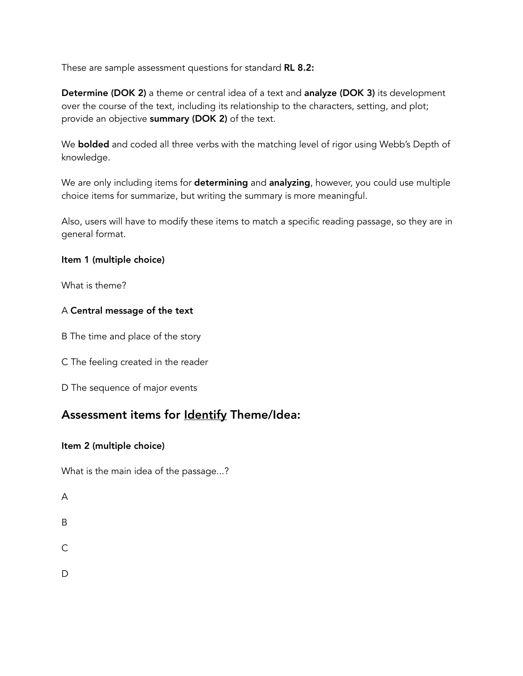These are sample assessment questions for standard RL 8.2:

Determine (DOK 2) a theme or central idea of a text and analyze (DOK 3) its development over the course of the text, including its relationship to the characters, setting, and plot; provide an objective summary (DOK 2) of the text.

We **bolded** and coded all three verbs with the matching level of rigor using Webb's Depth of knowledge.

We are only including items for determining and analyzing, however, you could use multiple choice items for summarize, but writing the summary is more meaningful.

Also, users will have to modify these items to match a specific reading passage, so they are in general format.

#### Item 1 (multiple choice)

What is theme?

#### A Central message of the text

B The time and place of the story

C The feeling created in the reader

D The sequence of major events

## Assessment items for **Identify** Theme/Idea:

#### Item 2 (multiple choice)

What is the main idea of the passage...?

A

- B
- $\mathcal{C}$

 $\mathsf{D}$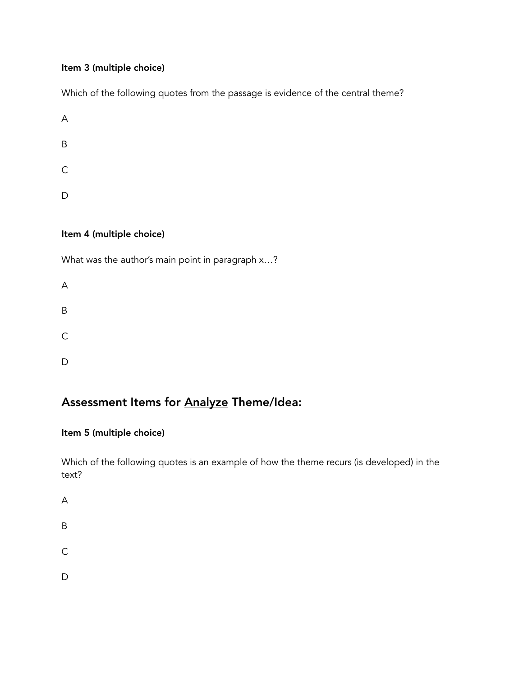#### Item 3 (multiple choice)

Which of the following quotes from the passage is evidence of the central theme?

A B C D

### Item 4 (multiple choice)

What was the author's main point in paragraph x...?

| A            |  |  |  |
|--------------|--|--|--|
| B            |  |  |  |
| $\mathsf{C}$ |  |  |  |
| D            |  |  |  |

# Assessment Items for Analyze Theme/Idea:

## Item 5 (multiple choice)

Which of the following quotes is an example of how the theme recurs (is developed) in the text?

A

B

C

D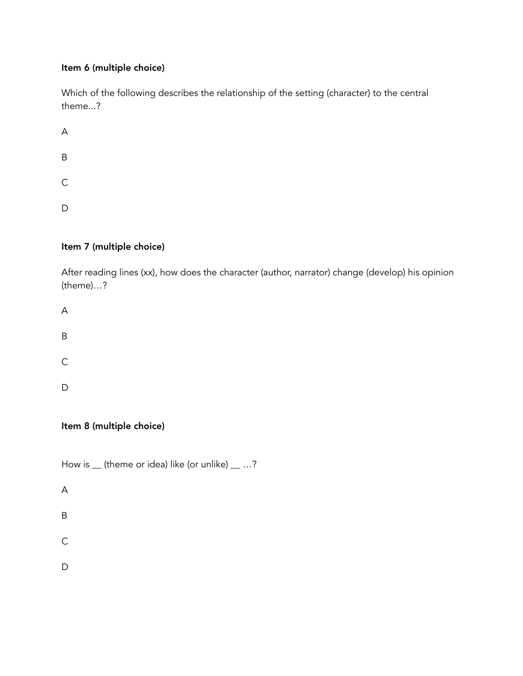#### Item 6 (multiple choice)

Which of the following describes the relationship of the setting (character) to the central theme...?

A B C  $\mathsf D$ 

## Item 7 (multiple choice)

After reading lines (xx), how does the character (author, narrator) change (develop) his opinion (theme)…?

A B C D

## Item 8 (multiple choice)